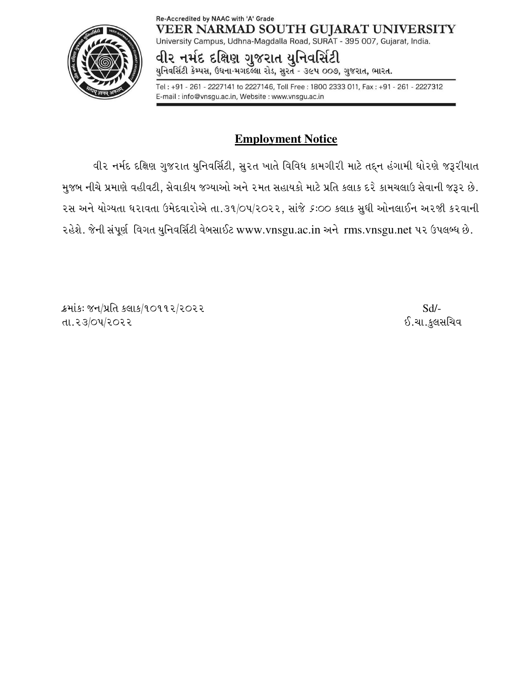#### Re-Accredited by NAAC with 'A' Grade VEER NARMAD SOUTH GUJARAT UNIVERSITY University Campus, Udhna-Magdalla Road, SURAT - 395 007, Gujarat, India.



વીર નમંદ દક્ષિણ ગુજરાત યુનિવર્સિટી

યુનિવર્સિટી કેમ્પસ, ઉધના-મગદલ્લા રોડ, સુરત - ૩૯૫ ૦૦૭, ગુજરાત, ભારત.

Tel: +91 - 261 - 2227141 to 2227146, Toll Free: 1800 2333 011, Fax: +91 - 261 - 2227312 E-mail: info@vnsgu.ac.in, Website: www.vnsgu.ac.in

# **Employment Notice**

વીર નર્મદ દક્ષિણ ગુજરાત યુનિવર્સિટી, સુરત ખાતે વિવિધ કામગીરી માટે તદ્દન હંગામી ધોરણે જરૂરીયાત મુજબ નીચે પ્રમાણે વહીવટી, સેવાકીય જગ્યાઓ અને ૨મત સહાયકો માટે પ્રતિ કલાક દરે કામચલાઉ સેવાની જરૂર છે. રસ અને યોગ્યતા ધરાવતા ઉમેદવારોએ તા.૩૧/૦૫/૨૦૨૨, સાંજે *૬*:૦૦ કલાક સુધી ઓનલાઈન અરજી કરવાની રહેશે. જેની સંપૂર્ણ વિગત યુનિવર્સિટી વેબસાઈટ www.vnsgu.ac.in અને rms.vnsgu.net ૫૨ ઉપલબ્ધ છે.

ક્રમાંકઃ જન/પ્રતિ કલાક/૧૦૧૧૨/૨૦૨૨  $Sd$ -TFPZ#q\_5qZ\_ZZ .PRFPS],;lRJ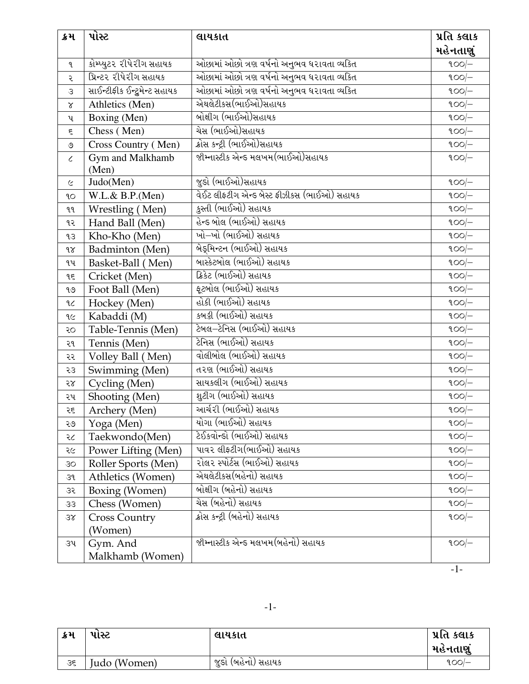| ક્રમ          | પોસ્ટ                         | લાયકાત                                     | પ્રતિ કલાક |
|---------------|-------------------------------|--------------------------------------------|------------|
|               |                               |                                            | મહેનતાણું  |
| q             | કોમ્પ્યુટર રીપેરીંગ સહાયક     | ઓછામાં ઓછો ત્રણ વર્ષનો અનુભવ ધરાવતા વ્યકિત | $100/-$    |
| ર             | પ્રિન્ટર રીપેરીગ સહાયક        | ઓછામાં ઓછો ત્રણ વર્ષનો અનુભવ ધરાવતા વ્યકિત | $900$ -    |
| $\mathcal{S}$ | સાઈન્ટીફીક ઈન્ટ્રુમેન્ટ સહાયક | ઓછામાં ઓછો ત્રણ વર્ષનો અનુભવ ધરાવતા વ્યકિત | $900$ -    |
| $\propto$     | Athletics (Men)               | એથલેટીકસ(ભાઈઓ)સહાયક                        | 100        |
| ૫             | Boxing (Men)                  | બોક્ષીગ (ભાઈઓ)સહાયક                        | $100/-$    |
| ξ             | Chess (Men)                   | <u>ચેસ (ભાઈઓ)સહાયક</u>                     | $900$ -    |
| $\circ$       | Cross Country (Men)           | ક્રોસ કન્ટ્રી (ભાઈઓ)સહાયક                  | $900$ -    |
| $\epsilon$    | Gym and Malkhamb<br>(Men)     | જીમ્નાસ્ટીક એન્ડ મલખમ(ભાઈઓ)સહાયક           | $900$ -    |
| $\varsigma$   | Judo(Men)                     | જુડો (ભાઈઓ)સહાયક                           | $900$ -    |
| 9O            | $W.L.\& B.P.(Men)$            | વેઈટ લીફટીગ એન્ડ બેસ્ટ ફીઝીકસ (ભાઈઓ) સહાયક | $100/-$    |
| ٩q            | Wrestling (Men)               | કુસ્તી (ભાઈઓ) સહાયક                        | $900/-$    |
| ૧૨            | Hand Ball (Men)               | હેન્ડ બોલ (ભાઈઓ) સહાયક                     | $100/-$    |
| qз            | Kho-Kho (Men)                 | ખો–ખો (ભાઈઓ) સહાયક                         | $100/-$    |
| 98            | <b>Badminton</b> (Men)        | બેરૂમિન્ટન (ભાઈઓ) સહાયક                    | $100/-$    |
| ૧૫            | Basket-Ball (Men)             | બાસ્કેટબોલ (ભાઈઓ) સહાયક                    | $900/-$    |
| ٩٤            | Cricket (Men)                 | ક્રિકેટ (ભાઈઓ) સહાયક                       | $900$ -    |
| ঀ৩            | Foot Ball (Men)               | ફૂટબોલ (ભાઈઓ) સહાયક                        | $100/-$    |
| ٩C            | Hockey (Men)                  | હોકી (ભાઈઓ) સહાયક                          | $900/-$    |
| ٩૯            | Kabaddi (M)                   | કબડ્ડી (ભાઈઓ) સહાયક                        | $900$ -    |
| २०            | Table-Tennis (Men)            | ટેબલ–ટેનિસ (ભાઈઓ) સહાયક                    | $900$ -    |
| ૨૧            | Tennis (Men)                  | ટેનિસ (ભાઈઓ) સહાયક                         | $900$ -    |
| ૨૨            | Volley Ball (Men)             | વોલીબોલ (ભાઈઓ) સહાયક                       | $900$ -    |
| 53            | Swimming (Men)                | તરણ (ભાઈઓ) સહાયક                           | $900/-$    |
| 58            | Cycling (Men)                 | સાયકલીંગ (ભાઈઓ) સહાયક                      | $900$ -    |
| ૨૫            | Shooting (Men)                | શુટીંગ (ભાઈઓ) સહાયક                        | $900$ -    |
| ર૬            | Archery (Men)                 | આર્ચરી (ભાઈઓ) સહાયક                        | $900$ -    |
| ૨૭            | Yoga (Men)                    | યોગા (ભાઈઓ) સહાયક                          | $900/-$    |
| २८            | Taekwondo(Men)                | ટેઈકવોન્ડો (ભાઈઓ) સહાયક                    | $900$ -    |
| ૨૯            | Power Lifting (Men)           | પાવર લીફટીગ(ભાઈઓ) સહાયક                    | $900$ -    |
| 30            | Roller Sports (Men)           | રોલર સ્પોર્ટસ (ભાઈઓ) સહાયક                 | $900$ -    |
| 39            | Athletics (Women)             | એથલેટીકસ(બહેનો) સહાયક                      | $900/-$    |
| 35            | Boxing (Women)                | બોક્ષીગ (બહેનો) સહાયક                      | $900$ -    |
| 33            | Chess (Women)                 | ચેસ (બહેનો) સહાયક                          | $900$ -    |
| 38            | <b>Cross Country</b>          | ક્રોસ કન્ટ્રી (બહેનો) સહાયક                | $900$ -    |
|               | (Women)                       |                                            |            |
| ૩૫            | Gym. And                      | જીમ્નાસ્ટીક એન્ડ મલખમ(બહેનો) સહાયક         | $900$ -    |
|               | Malkhamb (Women)              |                                            |            |
|               |                               |                                            | $-1-$      |

| ક્રમ | પાસ્ટ        | લાયકાત               | પ્રતિ કલાક |
|------|--------------|----------------------|------------|
|      |              |                      | મહેનતાણું  |
| 35   | Judo (Women) | ' જુડો (બહેનો) સહાયક | ૧૦૦/–      |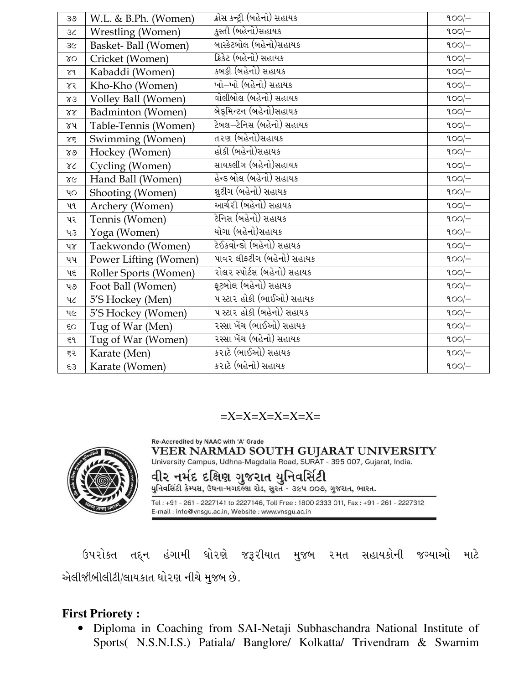| 39                | W.L. & B.Ph. (Women)  | ક્રોસ કન્ટ્રી (બહેનો) સહાયક | $100/-$ |
|-------------------|-----------------------|-----------------------------|---------|
| 36                | Wrestling (Women)     | કુસ્તી (બહેનો)સહાયક         | $900$ - |
| 3<                | Basket-Ball (Women)   | બાસ્કેટબોલ (બહેનો)સહાયક     | $900$ - |
| $\gamma$          | Cricket (Women)       | ક્રિકેટ (બહેનો) સહાયક       | $900/-$ |
| $\chi_d$          | Kabaddi (Women)       | કબડ્ડી (બહેનો) સહાયક        | $100/-$ |
| ४२                | Kho-Kho (Women)       | ખો–ખો (બહેનો) સહાયક         | $900$ - |
| $x_3$             | Volley Ball (Women)   | વોલીબોલ (બહેનો) સહાયક       | $900$ - |
| $\lambda\lambda$  | Badminton (Women)     | બેરૂમિન્ટન (બહેનો)સહાયક     | $900$ - |
| ૪૫                | Table-Tennis (Women)  | ટેબલ–ટેનિસ (બહેનો) સહાયક    | $900/-$ |
| $\lambda\epsilon$ | Swimming (Women)      | તરણ (બહેનો)સહાયક            | $900$ - |
| $80^{\circ}$      | Hockey (Women)        | હોકી (બહેનો)સહાયક           | $900$ - |
| $\gamma$          | Cycling (Women)       | સાયકલીગ (બહેનો)સહાયક        | $900$ - |
| $\chi$            | Hand Ball (Women)     | હેન્ડ બોલ (બહેનો) સહાયક     | $900$ - |
| $v_{\rm O}$       | Shooting (Women)      | શુટીંગ (બહેનો) સહાયક        | $900/-$ |
| ૫૧                | Archery (Women)       | આર્ચરી (બહેનો) સહાયક        | $900$ - |
| પર                | Tennis (Women)        | ટેનિસ (બહેનો) સહાયક         | $100/-$ |
| 43                | Yoga (Women)          | યોગા (બહેનો)સહાયક           | $100/-$ |
| ૫૪                | Taekwondo (Women)     | ટેઈકવોન્ડો (બહેનો) સહાયક    | $900$ - |
| પપ                | Power Lifting (Women) | પાવર લીફટીગ (બહેનો) સહાયક   | $900$ - |
| પદ                | Roller Sports (Women) | રોલર સ્પોર્ટસ (બહેનો) સહાયક | $900$ - |
| પ૭                | Foot Ball (Women)     | ફૂટબોલ (બહેનો) સહાયક        | $900$ - |
| $4\zeta$          | 5'S Hockey (Men)      | ૫ સ્ટાર હોકી (ભાઈઓ) સહાયક   | $900/-$ |
| પ૯                | 5'S Hockey (Women)    | પ સ્ટાર હોકી (બહેનો) સહાયક  | $900$ - |
| $\epsilon$ o      | Tug of War (Men)      | રસ્સા ખેંચ (ભાઈઓ) સહાયક     | $900/-$ |
| ٤ſ                | Tug of War (Women)    | રસ્સા ખેંચ (બહેનો) સહાયક    | $100/-$ |
| ૬ર                | Karate (Men)          | <u>કરાટે (ભાઈઓ) સહાયક</u>   | $900$ - |
| 53                | Karate (Women)        | કરાટે (બહેનો) સહાયક         | $900$ - |

 $=X=X=X=X=X=X=X=$ 



Re-Accredited by NAAC with 'A' Grade VEER NARMAD SOUTH GUJARAT UNIVERSITY

University Campus, Udhna-Magdalla Road, SURAT - 395 007, Gujarat, India.

વીર નર્મદ દક્ષિણ ગુજરાત યુનિવર્સિટી<br>યુનિવર્સેટી કેમ્પસ, ઉધના-મગદલ્લા રોડ, સુરત - ૩૯૫ ૦૦૭, ગુજરાત, ભારત.

Tel: +91 - 261 - 2227141 to 2227146, Toll Free: 1800 2333 011, Fax: +91 - 261 - 2227312 E-mail: info@vnsgu.ac.in, Website: www.vnsgu.ac.in

ઉપરોકત તદ્દન હંગામી ધોરણે જરૂરીયાત મુજબ ૨મત સહાયકોની જગ્યાઓ માટે એલીજીબીલીટી/લાયકાત ધોરણ નીચે મુજબ છે.

## **First Priorety :**

• Diploma in Coaching from SAI-Netaji Subhaschandra National Institute of Sports( N.S.N.I.S.) Patiala/ Banglore/ Kolkatta/ Trivendram & Swarnim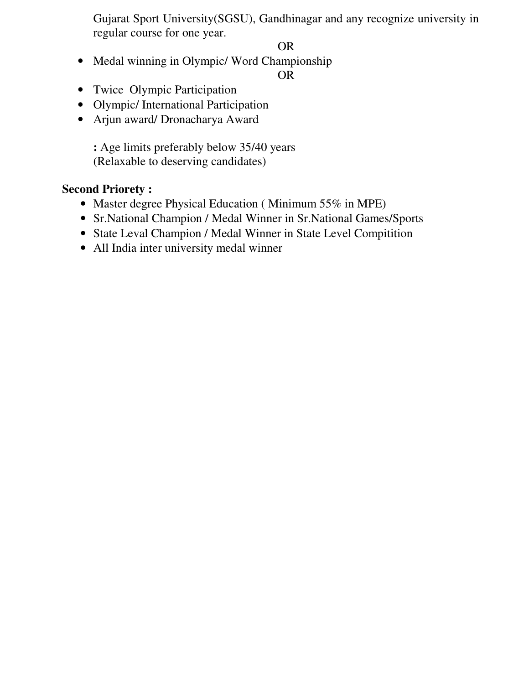Gujarat Sport University(SGSU), Gandhinagar and any recognize university in regular course for one year.

OR

• Medal winning in Olympic/ Word Championship

OR

- Twice Olympic Participation
- Olympic/ International Participation
- Arjun award/ Dronacharya Award

**:** Age limits preferably below 35/40 years (Relaxable to deserving candidates)

## **Second Priorety :**

- Master degree Physical Education (Minimum 55% in MPE)
- Sr.National Champion / Medal Winner in Sr.National Games/Sports
- State Leval Champion / Medal Winner in State Level Compitition
- All India inter university medal winner